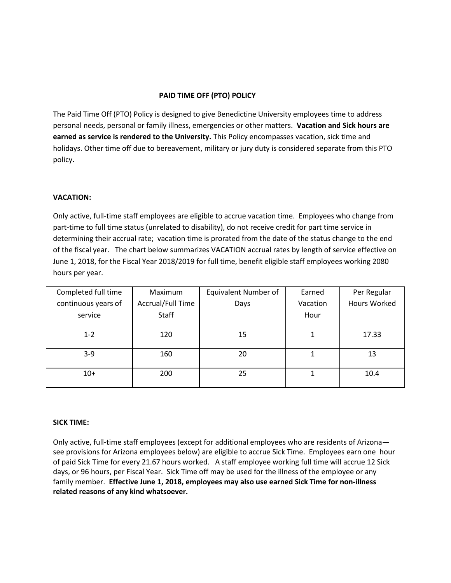## **PAID TIME OFF (PTO) POLICY**

The Paid Time Off (PTO) Policy is designed to give Benedictine University employees time to address personal needs, personal or family illness, emergencies or other matters. **Vacation and Sick hours are earned as service is rendered to the University.** This Policy encompasses vacation, sick time and holidays. Other time off due to bereavement, military or jury duty is considered separate from this PTO policy.

## **VACATION:**

Only active, full-time staff employees are eligible to accrue vacation time. Employees who change from part-time to full time status (unrelated to disability), do not receive credit for part time service in determining their accrual rate; vacation time is prorated from the date of the status change to the end of the fiscal year. The chart below summarizes VACATION accrual rates by length of service effective on June 1, 2018, for the Fiscal Year 2018/2019 for full time, benefit eligible staff employees working 2080 hours per year.

| Completed full time | Maximum           | <b>Equivalent Number of</b> | Earned   | Per Regular         |
|---------------------|-------------------|-----------------------------|----------|---------------------|
| continuous years of | Accrual/Full Time | Days                        | Vacation | <b>Hours Worked</b> |
| service             | Staff             |                             | Hour     |                     |
|                     |                   |                             |          |                     |
| $1 - 2$             | 120               | 15                          |          | 17.33               |
| $3-9$               | 160               | 20                          |          | 13                  |
| $10+$               | 200               | 25                          |          | 10.4                |

## **SICK TIME:**

Only active, full-time staff employees (except for additional employees who are residents of Arizona see provisions for Arizona employees below) are eligible to accrue Sick Time. Employees earn one hour of paid Sick Time for every 21.67 hours worked. A staff employee working full time will accrue 12 Sick days, or 96 hours, per Fiscal Year. Sick Time off may be used for the illness of the employee or any family member. **Effective June 1, 2018, employees may also use earned Sick Time for non-illness related reasons of any kind whatsoever.**